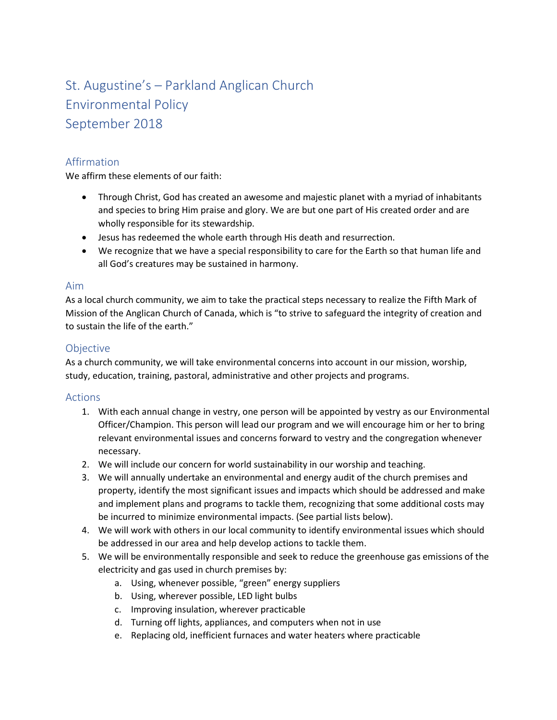# St. Augustine's – Parkland Anglican Church Environmental Policy September 2018

## Affirmation

We affirm these elements of our faith:

- Through Christ, God has created an awesome and majestic planet with a myriad of inhabitants and species to bring Him praise and glory. We are but one part of His created order and are wholly responsible for its stewardship.
- Jesus has redeemed the whole earth through His death and resurrection.
- We recognize that we have a special responsibility to care for the Earth so that human life and all God's creatures may be sustained in harmony.

#### Aim

As a local church community, we aim to take the practical steps necessary to realize the Fifth Mark of Mission of the Anglican Church of Canada, which is "to strive to safeguard the integrity of creation and to sustain the life of the earth."

### **Objective**

As a church community, we will take environmental concerns into account in our mission, worship, study, education, training, pastoral, administrative and other projects and programs.

#### Actions

- 1. With each annual change in vestry, one person will be appointed by vestry as our Environmental Officer/Champion. This person will lead our program and we will encourage him or her to bring relevant environmental issues and concerns forward to vestry and the congregation whenever necessary.
- 2. We will include our concern for world sustainability in our worship and teaching.
- 3. We will annually undertake an environmental and energy audit of the church premises and property, identify the most significant issues and impacts which should be addressed and make and implement plans and programs to tackle them, recognizing that some additional costs may be incurred to minimize environmental impacts. (See partial lists below).
- 4. We will work with others in our local community to identify environmental issues which should be addressed in our area and help develop actions to tackle them.
- 5. We will be environmentally responsible and seek to reduce the greenhouse gas emissions of the electricity and gas used in church premises by:
	- a. Using, whenever possible, "green" energy suppliers
	- b. Using, wherever possible, LED light bulbs
	- c. Improving insulation, wherever practicable
	- d. Turning off lights, appliances, and computers when not in use
	- e. Replacing old, inefficient furnaces and water heaters where practicable